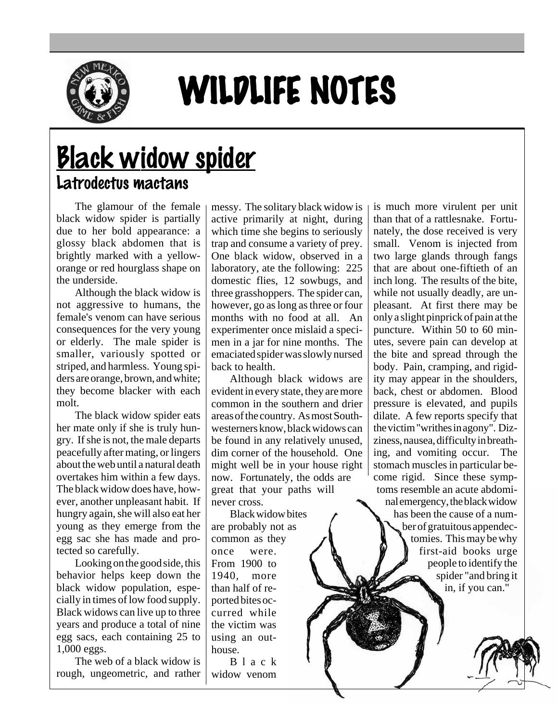

## WILDLIFE NOTES

## **Black widow spider** Latrodectus mactans

The glamour of the female black widow spider is partially due to her bold appearance: a glossy black abdomen that is brightly marked with a yelloworange or red hourglass shape on the underside.

Although the black widow is not aggressive to humans, the female's venom can have serious consequences for the very young or elderly. The male spider is smaller, variously spotted or striped, and harmless. Young spiders are orange, brown, and white; they become blacker with each molt.

The black widow spider eats her mate only if she is truly hungry. If she is not, the male departs peacefully after mating, or lingers about the web until a natural death overtakes him within a few days. The black widow does have, however, another unpleasant habit. If hungry again, she will also eat her young as they emerge from the egg sac she has made and protected so carefully.

Looking on the good side, this behavior helps keep down the black widow population, especially in times of low food supply. Black widows can live up to three years and produce a total of nine egg sacs, each containing 25 to 1,000 eggs.

The web of a black widow is rough, ungeometric, and rather messy. The solitary black widow is active primarily at night, during which time she begins to seriously trap and consume a variety of prey. One black widow, observed in a laboratory, ate the following: 225 domestic flies, 12 sowbugs, and three grasshoppers. The spider can, however, go as long as three or four months with no food at all. An experimenter once mislaid a specimen in a jar for nine months. The emaciated spider was slowly nursed back to health.

Although black widows are evident in every state, they are more common in the southern and drier areas of the country. As most Southwesterners know, black widows can be found in any relatively unused, dim corner of the household. One might well be in your house right now. Fortunately, the odds are great that your paths will never cross.

Black widow bites are probably not as common as they once were. From 1900 to 1940, more than half of reported bites occurred while the victim was using an outhouse.

Black widow venom is much more virulent per unit than that of a rattlesnake. Fortunately, the dose received is very small. Venom is injected from two large glands through fangs that are about one-fiftieth of an inch long. The results of the bite, while not usually deadly, are unpleasant. At first there may be only a slight pinprick of pain at the puncture. Within 50 to 60 minutes, severe pain can develop at the bite and spread through the body. Pain, cramping, and rigidity may appear in the shoulders, back, chest or abdomen. Blood pressure is elevated, and pupils dilate. A few reports specify that the victim "writhes in agony". Dizziness, nausea, difficulty in breathing, and vomiting occur. The stomach muscles in particular become rigid. Since these symptoms resemble an acute abdominal emergency, the black widow has been the cause of a number of gratuitous appendectomies. This may be why first-aid books urge people to identify the spider "and bring it in, if you can."